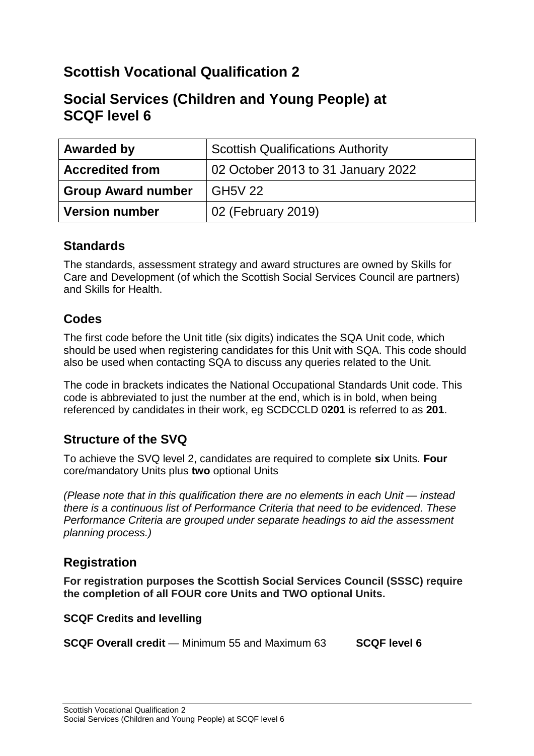## **Scottish Vocational Qualification 2**

## **Social Services (Children and Young People) at SCQF level 6**

| <b>Awarded by</b>         | <b>Scottish Qualifications Authority</b> |
|---------------------------|------------------------------------------|
| <b>Accredited from</b>    | 02 October 2013 to 31 January 2022       |
| <b>Group Award number</b> | <b>GH5V 22</b>                           |
| <b>Version number</b>     | 02 (February 2019)                       |

## **Standards**

The standards, assessment strategy and award structures are owned by Skills for Care and Development (of which the Scottish Social Services Council are partners) and Skills for Health.

## **Codes**

The first code before the Unit title (six digits) indicates the SQA Unit code, which should be used when registering candidates for this Unit with SQA. This code should also be used when contacting SQA to discuss any queries related to the Unit.

The code in brackets indicates the National Occupational Standards Unit code. This code is abbreviated to just the number at the end, which is in bold, when being referenced by candidates in their work, eg SCDCCLD 0**201** is referred to as **201**.

## **Structure of the SVQ**

To achieve the SVQ level 2, candidates are required to complete **six** Units. **Four** core/mandatory Units plus **two** optional Units

*(Please note that in this qualification there are no elements in each Unit — instead there is a continuous list of Performance Criteria that need to be evidenced. These Performance Criteria are grouped under separate headings to aid the assessment planning process.)* 

## **Registration**

**For registration purposes the Scottish Social Services Council (SSSC) require the completion of all FOUR core Units and TWO optional Units.**

#### **SCQF Credits and levelling**

**SCQF Overall credit** — Minimum 55 and Maximum 63 **SCQF level 6**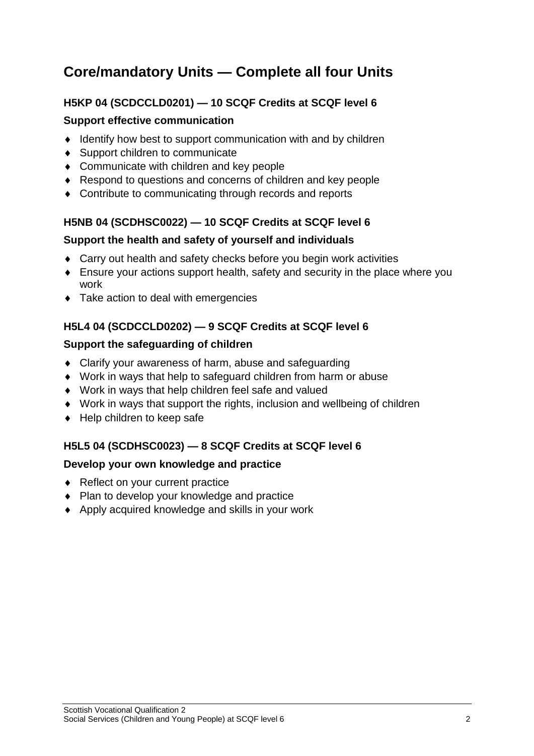# **Core/mandatory Units — Complete all four Units**

## **H5KP 04 (SCDCCLD0201) — 10 SCQF Credits at SCQF level 6**

#### **Support effective communication**

- $\bullet$  Identify how best to support communication with and by children
- ◆ Support children to communicate
- ◆ Communicate with children and key people
- ◆ Respond to questions and concerns of children and key people
- ◆ Contribute to communicating through records and reports

#### **H5NB 04 (SCDHSC0022) — 10 SCQF Credits at SCQF level 6**

#### **Support the health and safety of yourself and individuals**

- Carry out health and safety checks before you begin work activities
- Ensure your actions support health, safety and security in the place where you work
- ◆ Take action to deal with emergencies

## **H5L4 04 (SCDCCLD0202) — 9 SCQF Credits at SCQF level 6**

#### **Support the safeguarding of children**

- Clarify your awareness of harm, abuse and safeguarding
- Work in ways that help to safeguard children from harm or abuse
- Work in ways that help children feel safe and valued
- Work in ways that support the rights, inclusion and wellbeing of children
- ◆ Help children to keep safe

## **H5L5 04 (SCDHSC0023) — 8 SCQF Credits at SCQF level 6**

#### **Develop your own knowledge and practice**

- ◆ Reflect on your current practice
- Plan to develop your knowledge and practice
- ◆ Apply acquired knowledge and skills in your work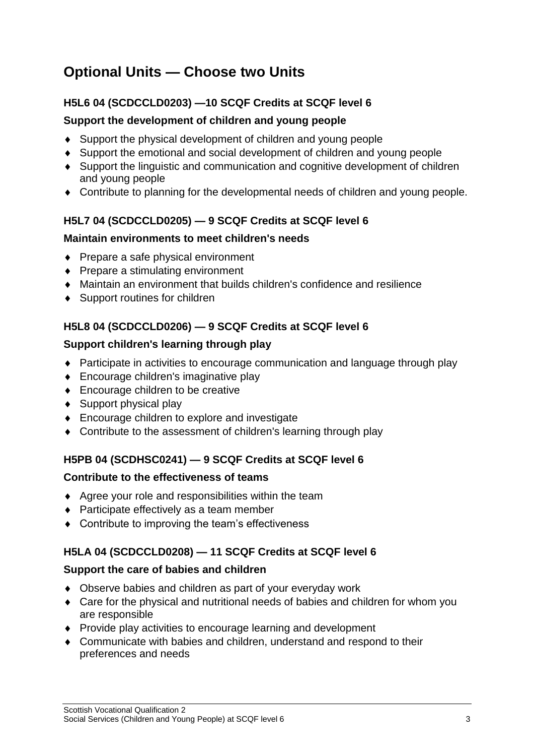# **Optional Units — Choose two Units**

### **H5L6 04 (SCDCCLD0203) —10 SCQF Credits at SCQF level 6**

#### **Support the development of children and young people**

- Support the physical development of children and young people
- Support the emotional and social development of children and young people
- Support the linguistic and communication and cognitive development of children and young people
- Contribute to planning for the developmental needs of children and young people.

## **H5L7 04 (SCDCCLD0205) — 9 SCQF Credits at SCQF level 6**

#### **Maintain environments to meet children's needs**

- $\bullet$  Prepare a safe physical environment
- ◆ Prepare a stimulating environment
- Maintain an environment that builds children's confidence and resilience
- ◆ Support routines for children

## **H5L8 04 (SCDCCLD0206) — 9 SCQF Credits at SCQF level 6**

#### **Support children's learning through play**

- Participate in activities to encourage communication and language through play
- ◆ Encourage children's imaginative play
- ◆ Encourage children to be creative
- $\triangleleft$  Support physical play
- ◆ Encourage children to explore and investigate
- Contribute to the assessment of children's learning through play

#### **H5PB 04 (SCDHSC0241) — 9 SCQF Credits at SCQF level 6**

#### **Contribute to the effectiveness of teams**

- Agree your role and responsibilities within the team
- ◆ Participate effectively as a team member
- ◆ Contribute to improving the team's effectiveness

#### **H5LA 04 (SCDCCLD0208) — 11 SCQF Credits at SCQF level 6**

#### **Support the care of babies and children**

- Observe babies and children as part of your everyday work
- Care for the physical and nutritional needs of babies and children for whom you are responsible
- ◆ Provide play activities to encourage learning and development
- Communicate with babies and children, understand and respond to their preferences and needs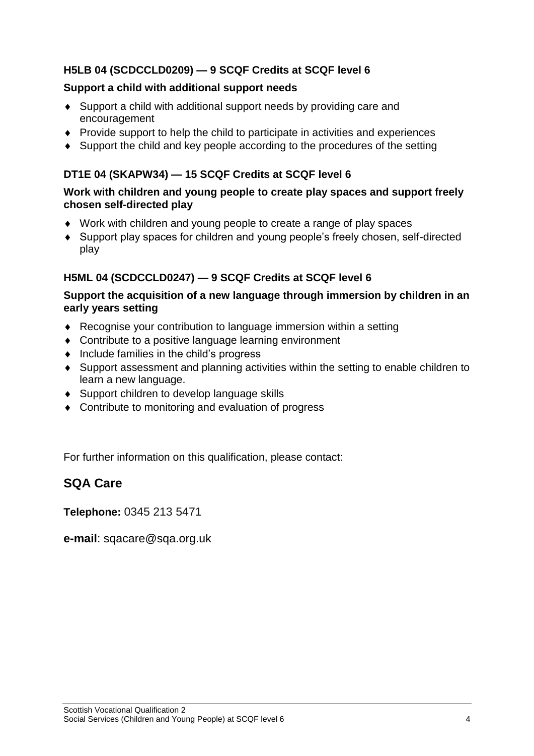### **H5LB 04 (SCDCCLD0209) — 9 SCQF Credits at SCQF level 6**

#### **Support a child with additional support needs**

- Support a child with additional support needs by providing care and encouragement
- Provide support to help the child to participate in activities and experiences
- Support the child and key people according to the procedures of the setting

#### **DT1E 04 (SKAPW34) — 15 SCQF Credits at SCQF level 6**

#### **Work with children and young people to create play spaces and support freely chosen self-directed play**

- Work with children and young people to create a range of play spaces
- Support play spaces for children and young people's freely chosen, self-directed play

## **H5ML 04 (SCDCCLD0247) — 9 SCQF Credits at SCQF level 6**

#### **Support the acquisition of a new language through immersion by children in an early years setting**

- Recognise your contribution to language immersion within a setting
- ◆ Contribute to a positive language learning environment
- $\bullet$  Include families in the child's progress
- Support assessment and planning activities within the setting to enable children to learn a new language.
- ◆ Support children to develop language skills
- Contribute to monitoring and evaluation of progress

For further information on this qualification, please contact:

## **SQA Care**

**Telephone:** 0345 213 5471

**e-mail**: sqacare@sqa.org.uk